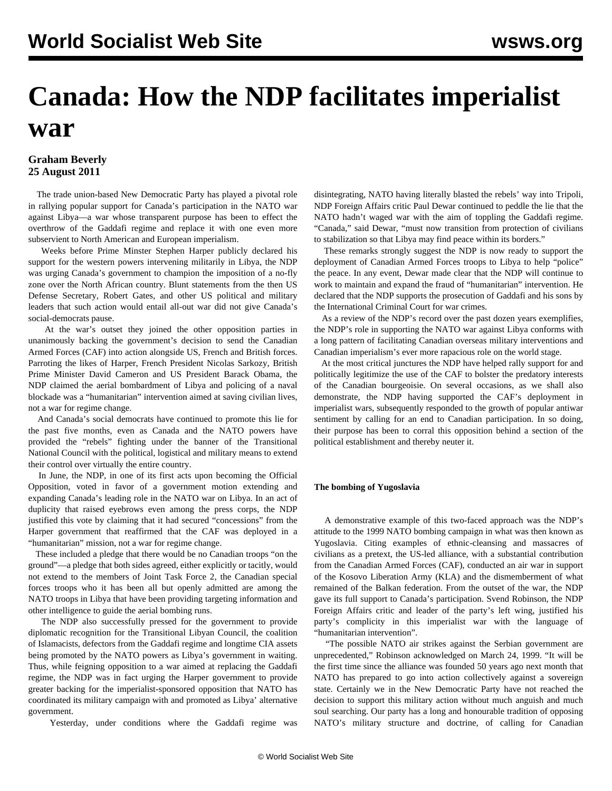# **Canada: How the NDP facilitates imperialist war**

# **Graham Beverly 25 August 2011**

 The trade union-based New Democratic Party has played a pivotal role in rallying popular support for Canada's participation in the NATO war against Libya—a war whose transparent purpose has been to effect the overthrow of the Gaddafi regime and replace it with one even more subservient to North American and European imperialism.

 Weeks before Prime Minster Stephen Harper publicly declared his support for the western powers intervening militarily in Libya, the NDP was urging Canada's government to champion the imposition of a no-fly zone over the North African country. Blunt statements from the then US Defense Secretary, Robert Gates, and other US political and military leaders that such action would entail all-out war did not give Canada's social-democrats pause.

 At the war's outset they joined the other opposition parties in unanimously backing the government's decision to send the Canadian Armed Forces (CAF) into action alongside US, French and British forces. Parroting the likes of Harper, French President Nicolas Sarkozy, British Prime Minister David Cameron and US President Barack Obama, the NDP claimed the aerial bombardment of Libya and policing of a naval blockade was a "humanitarian" intervention aimed at saving civilian lives, not a war for regime change.

 And Canada's social democrats have continued to promote this lie for the past five months, even as Canada and the NATO powers have provided the "rebels" fighting under the banner of the Transitional National Council with the political, logistical and military means to extend their control over virtually the entire country.

 In June, the NDP, in one of its first acts upon becoming the Official Opposition, voted in favor of a government motion extending and expanding Canada's leading role in the NATO war on Libya. In an act of duplicity that raised eyebrows even among the press corps, the NDP justified this vote by claiming that it had secured "concessions" from the Harper government that reaffirmed that the CAF was deployed in a "humanitarian" mission, not a war for regime change.

 These included a pledge that there would be no Canadian troops "on the ground"—a pledge that both sides agreed, either explicitly or tacitly, would not extend to the members of Joint Task Force 2, the Canadian special forces troops who it has been all but openly admitted are among the NATO troops in Libya that have been providing targeting information and other intelligence to guide the aerial bombing runs.

 The NDP also successfully pressed for the government to provide diplomatic recognition for the Transitional Libyan Council, the coalition of Islamacists, defectors from the Gaddafi regime and longtime CIA assets being promoted by the NATO powers as Libya's government in waiting. Thus, while feigning opposition to a war aimed at replacing the Gaddafi regime, the NDP was in fact urging the Harper government to provide greater backing for the imperialist-sponsored opposition that NATO has coordinated its military campaign with and promoted as Libya' alternative government.

Yesterday, under conditions where the Gaddafi regime was

disintegrating, NATO having literally blasted the rebels' way into Tripoli, NDP Foreign Affairs critic Paul Dewar continued to peddle the lie that the NATO hadn't waged war with the aim of toppling the Gaddafi regime. "Canada," said Dewar, "must now transition from protection of civilians to stabilization so that Libya may find peace within its borders."

 These remarks strongly suggest the NDP is now ready to support the deployment of Canadian Armed Forces troops to Libya to help "police" the peace. In any event, Dewar made clear that the NDP will continue to work to maintain and expand the fraud of "humanitarian" intervention. He declared that the NDP supports the prosecution of Gaddafi and his sons by the International Criminal Court for war crimes.

 As a review of the NDP's record over the past dozen years exemplifies, the NDP's role in supporting the NATO war against Libya conforms with a long pattern of facilitating Canadian overseas military interventions and Canadian imperialism's ever more rapacious role on the world stage.

 At the most critical junctures the NDP have helped rally support for and politically legitimize the use of the CAF to bolster the predatory interests of the Canadian bourgeoisie. On several occasions, as we shall also demonstrate, the NDP having supported the CAF's deployment in imperialist wars, subsequently responded to the growth of popular antiwar sentiment by calling for an end to Canadian participation. In so doing, their purpose has been to corral this opposition behind a section of the political establishment and thereby neuter it.

#### **The bombing of Yugoslavia**

 A demonstrative example of this two-faced approach was the NDP's attitude to the 1999 NATO bombing campaign in what was then known as Yugoslavia. Citing examples of ethnic-cleansing and massacres of civilians as a pretext, the US-led alliance, with a substantial contribution from the Canadian Armed Forces (CAF), conducted an air war in support of the Kosovo Liberation Army (KLA) and the dismemberment of what remained of the Balkan federation. From the outset of the war, the NDP gave its full support to Canada's participation. Svend Robinson, the NDP Foreign Affairs critic and leader of the party's left wing, justified his party's complicity in this imperialist war with the language of "humanitarian intervention".

 "The possible NATO air strikes against the Serbian government are unprecedented," Robinson acknowledged on March 24, 1999. "It will be the first time since the alliance was founded 50 years ago next month that NATO has prepared to go into action collectively against a sovereign state. Certainly we in the New Democratic Party have not reached the decision to support this military action without much anguish and much soul searching. Our party has a long and honourable tradition of opposing NATO's military structure and doctrine, of calling for Canadian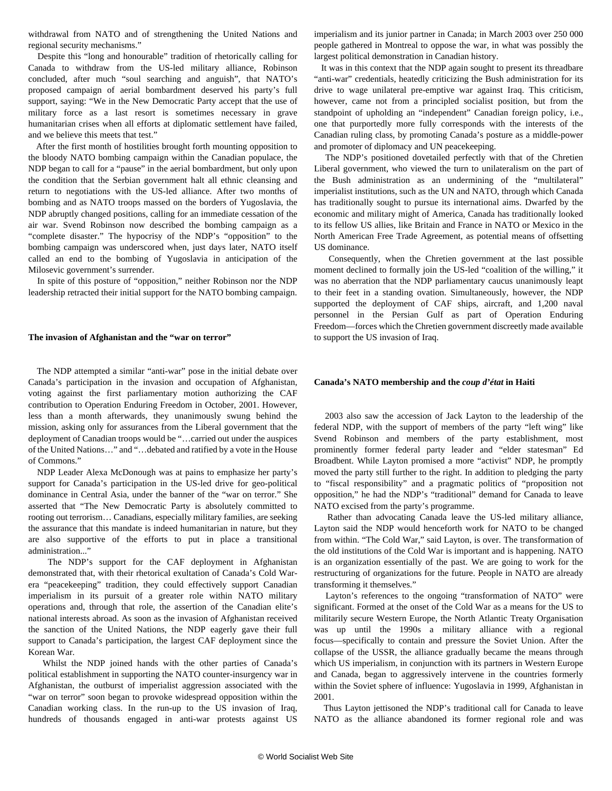withdrawal from NATO and of strengthening the United Nations and regional security mechanisms."

 Despite this "long and honourable" tradition of rhetorically calling for Canada to withdraw from the US-led military alliance, Robinson concluded, after much "soul searching and anguish", that NATO's proposed campaign of aerial bombardment deserved his party's full support, saying: "We in the New Democratic Party accept that the use of military force as a last resort is sometimes necessary in grave humanitarian crises when all efforts at diplomatic settlement have failed, and we believe this meets that test."

 After the first month of hostilities brought forth mounting opposition to the bloody NATO bombing campaign within the Canadian populace, the NDP began to call for a "pause" in the aerial bombardment, but only upon the condition that the Serbian government halt all ethnic cleansing and return to negotiations with the US-led alliance. After two months of bombing and as NATO troops massed on the borders of Yugoslavia, the NDP abruptly changed positions, calling for an immediate cessation of the air war. Svend Robinson now described the bombing campaign as a "complete disaster." The hypocrisy of the NDP's "opposition" to the bombing campaign was underscored when, just days later, NATO itself called an end to the bombing of Yugoslavia in anticipation of the Milosevic government's surrender.

 In spite of this posture of "opposition," neither Robinson nor the NDP leadership retracted their initial support for the NATO bombing campaign.

#### **The invasion of Afghanistan and the "war on terror"**

 The NDP attempted a similar "anti-war" pose in the initial debate over Canada's participation in the invasion and occupation of Afghanistan, voting against the first parliamentary motion authorizing the CAF contribution to Operation Enduring Freedom in October, 2001. However, less than a month afterwards, they unanimously swung behind the mission, asking only for assurances from the Liberal government that the deployment of Canadian troops would be "…carried out under the auspices of the United Nations…" and "…debated and ratified by a vote in the House of Commons."

 NDP Leader Alexa McDonough was at pains to emphasize her party's support for Canada's participation in the US-led drive for geo-political dominance in Central Asia, under the banner of the "war on terror." She asserted that "The New Democratic Party is absolutely committed to rooting out terrorism… Canadians, especially military families, are seeking the assurance that this mandate is indeed humanitarian in nature, but they are also supportive of the efforts to put in place a transitional administration..."

 The NDP's support for the CAF deployment in Afghanistan demonstrated that, with their rhetorical exultation of Canada's Cold Warera "peacekeeping" tradition, they could effectively support Canadian imperialism in its pursuit of a greater role within NATO military operations and, through that role, the assertion of the Canadian elite's national interests abroad. As soon as the invasion of Afghanistan received the sanction of the United Nations, the NDP eagerly gave their full support to Canada's participation, the largest CAF deployment since the Korean War.

 Whilst the NDP joined hands with the other parties of Canada's political establishment in supporting the NATO counter-insurgency war in Afghanistan, the outburst of imperialist aggression associated with the "war on terror" soon began to provoke widespread opposition within the Canadian working class. In the run-up to the US invasion of Iraq, hundreds of thousands engaged in anti-war protests against US imperialism and its junior partner in Canada; in March 2003 over 250 000 people gathered in Montreal to oppose the war, in what was possibly the largest political demonstration in Canadian history.

 It was in this context that the NDP again sought to present its threadbare "anti-war" credentials, heatedly criticizing the Bush administration for its drive to wage unilateral pre-emptive war against Iraq. This criticism, however, came not from a principled socialist position, but from the standpoint of upholding an "independent" Canadian foreign policy, i.e., one that purportedly more fully corresponds with the interests of the Canadian ruling class, by promoting Canada's posture as a middle-power and promoter of diplomacy and UN peacekeeping.

 The NDP's positioned dovetailed perfectly with that of the Chretien Liberal government, who viewed the turn to unilateralism on the part of the Bush administration as an undermining of the "multilateral" imperialist institutions, such as the UN and NATO, through which Canada has traditionally sought to pursue its international aims. Dwarfed by the economic and military might of America, Canada has traditionally looked to its fellow US allies, like Britain and France in NATO or Mexico in the North American Free Trade Agreement, as potential means of offsetting US dominance.

 Consequently, when the Chretien government at the last possible moment declined to formally join the US-led "coalition of the willing," it was no aberration that the NDP parliamentary caucus unanimously leapt to their feet in a standing ovation. Simultaneously, however, the NDP supported the deployment of CAF ships, aircraft, and 1,200 naval personnel in the Persian Gulf as part of Operation Enduring Freedom—forces which the Chretien government discreetly made available to support the US invasion of Iraq.

#### **Canada's NATO membership and the** *coup d'état* **in Haiti**

 2003 also saw the accession of Jack Layton to the leadership of the federal NDP, with the support of members of the party "left wing" like Svend Robinson and members of the party establishment, most prominently former federal party leader and "elder statesman" Ed Broadbent. While Layton promised a more "activist" NDP, he promptly moved the party still further to the right. In addition to pledging the party to "fiscal responsibility" and a pragmatic politics of "proposition not opposition," he had the NDP's "traditional" demand for Canada to leave NATO excised from the party's programme.

 Rather than advocating Canada leave the US-led military alliance, Layton said the NDP would henceforth work for NATO to be changed from within. "The Cold War," said Layton, is over. The transformation of the old institutions of the Cold War is important and is happening. NATO is an organization essentially of the past. We are going to work for the restructuring of organizations for the future. People in NATO are already transforming it themselves."

 Layton's references to the ongoing "transformation of NATO" were significant. Formed at the onset of the Cold War as a means for the US to militarily secure Western Europe, the North Atlantic Treaty Organisation was up until the 1990s a military alliance with a regional focus—specifically to contain and pressure the Soviet Union. After the collapse of the USSR, the alliance gradually became the means through which US imperialism, in conjunction with its partners in Western Europe and Canada, began to aggressively intervene in the countries formerly within the Soviet sphere of influence: Yugoslavia in 1999, Afghanistan in 2001.

 Thus Layton jettisoned the NDP's traditional call for Canada to leave NATO as the alliance abandoned its former regional role and was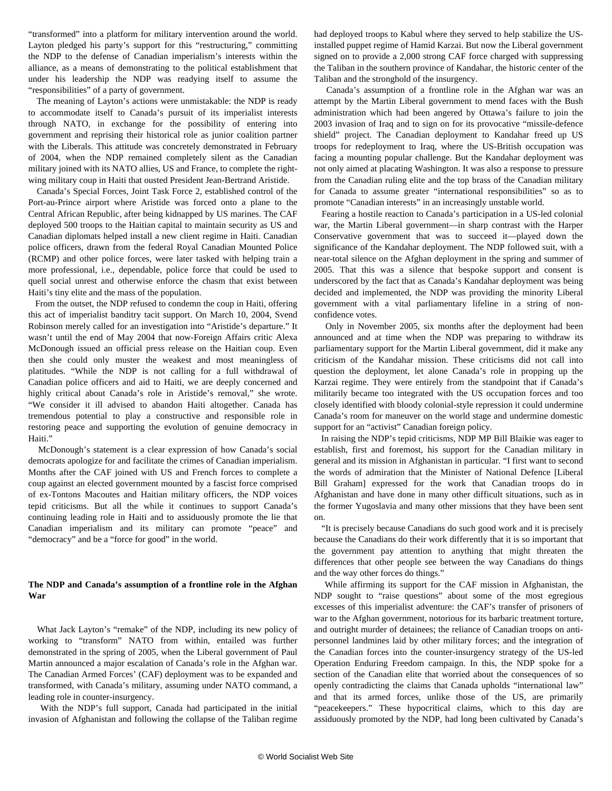"transformed" into a platform for military intervention around the world. Layton pledged his party's support for this "restructuring," committing the NDP to the defense of Canadian imperialism's interests within the alliance, as a means of demonstrating to the political establishment that under his leadership the NDP was readying itself to assume the "responsibilities" of a party of government.

 The meaning of Layton's actions were unmistakable: the NDP is ready to accommodate itself to Canada's pursuit of its imperialist interests through NATO, in exchange for the possibility of entering into government and reprising their historical role as junior coalition partner with the Liberals. This attitude was concretely demonstrated in February of 2004, when the NDP remained completely silent as the Canadian military joined with its NATO allies, US and France, to complete the rightwing military coup in Haiti that ousted President Jean-Bertrand Aristide.

 Canada's Special Forces, Joint Task Force 2, established control of the Port-au-Prince airport where Aristide was forced onto a plane to the Central African Republic, after being kidnapped by US marines. The CAF deployed 500 troops to the Haitian capital to maintain security as US and Canadian diplomats helped install a new client regime in Haiti. Canadian police officers, drawn from the federal Royal Canadian Mounted Police (RCMP) and other police forces, were later tasked with helping train a more professional, i.e., dependable, police force that could be used to quell social unrest and otherwise enforce the chasm that exist between Haiti's tiny elite and the mass of the population.

 From the outset, the NDP refused to condemn the coup in Haiti, offering this act of imperialist banditry tacit support. On March 10, 2004, Svend Robinson merely called for an investigation into "Aristide's departure." It wasn't until the end of May 2004 that now-Foreign Affairs critic Alexa McDonough issued an official press release on the Haitian coup. Even then she could only muster the weakest and most meaningless of platitudes. "While the NDP is not calling for a full withdrawal of Canadian police officers and aid to Haiti, we are deeply concerned and highly critical about Canada's role in Aristide's removal," she wrote. "We consider it ill advised to abandon Haiti altogether. Canada has tremendous potential to play a constructive and responsible role in restoring peace and supporting the evolution of genuine democracy in Haiti."

 McDonough's statement is a clear expression of how Canada's social democrats apologize for and facilitate the crimes of Canadian imperialism. Months after the CAF joined with US and French forces to complete a coup against an elected government mounted by a fascist force comprised of ex-Tontons Macoutes and Haitian military officers, the NDP voices tepid criticisms. But all the while it continues to support Canada's continuing leading role in Haiti and to assiduously promote the lie that Canadian imperialism and its military can promote "peace" and "democracy" and be a "force for good" in the world.

### **The NDP and Canada's assumption of a frontline role in the Afghan War**

 What Jack Layton's "remake" of the NDP, including its new policy of working to "transform" NATO from within, entailed was further demonstrated in the spring of 2005, when the Liberal government of Paul Martin announced a major escalation of Canada's role in the Afghan war. The Canadian Armed Forces' (CAF) deployment was to be expanded and transformed, with Canada's military, assuming under NATO command, a leading role in counter-insurgency.

 With the NDP's full support, Canada had participated in the initial invasion of Afghanistan and following the collapse of the Taliban regime had deployed troops to Kabul where they served to help stabilize the USinstalled puppet regime of Hamid Karzai. But now the Liberal government signed on to provide a 2,000 strong CAF force charged with suppressing the Taliban in the southern province of Kandahar, the historic center of the Taliban and the stronghold of the insurgency.

 Canada's assumption of a frontline role in the Afghan war was an attempt by the Martin Liberal government to mend faces with the Bush administration which had been angered by Ottawa's failure to join the 2003 invasion of Iraq and to sign on for its provocative "missile-defence shield" project. The Canadian deployment to Kandahar freed up US troops for redeployment to Iraq, where the US-British occupation was facing a mounting popular challenge. But the Kandahar deployment was not only aimed at placating Washington. It was also a response to pressure from the Canadian ruling elite and the top brass of the Canadian military for Canada to assume greater "international responsibilities" so as to promote "Canadian interests" in an increasingly unstable world.

 Fearing a hostile reaction to Canada's participation in a US-led colonial war, the Martin Liberal government—in sharp contrast with the Harper Conservative government that was to succeed it—played down the significance of the Kandahar deployment. The NDP followed suit, with a near-total silence on the Afghan deployment in the spring and summer of 2005. That this was a silence that bespoke support and consent is underscored by the fact that as Canada's Kandahar deployment was being decided and implemented, the NDP was providing the minority Liberal government with a vital parliamentary lifeline in a string of nonconfidence votes.

 Only in November 2005, six months after the deployment had been announced and at time when the NDP was preparing to withdraw its parliamentary support for the Martin Liberal government, did it make any criticism of the Kandahar mission. These criticisms did not call into question the deployment, let alone Canada's role in propping up the Karzai regime. They were entirely from the standpoint that if Canada's militarily became too integrated with the US occupation forces and too closely identified with bloody colonial-style repression it could undermine Canada's room for maneuver on the world stage and undermine domestic support for an "activist" Canadian foreign policy.

 In raising the NDP's tepid criticisms, NDP MP Bill Blaikie was eager to establish, first and foremost, his support for the Canadian military in general and its mission in Afghanistan in particular. "I first want to second the words of admiration that the Minister of National Defence [Liberal Bill Graham] expressed for the work that Canadian troops do in Afghanistan and have done in many other difficult situations, such as in the former Yugoslavia and many other missions that they have been sent on.

 "It is precisely because Canadians do such good work and it is precisely because the Canadians do their work differently that it is so important that the government pay attention to anything that might threaten the differences that other people see between the way Canadians do things and the way other forces do things."

 While affirming its support for the CAF mission in Afghanistan, the NDP sought to "raise questions" about some of the most egregious excesses of this imperialist adventure: the CAF's transfer of prisoners of war to the Afghan government, notorious for its barbaric treatment torture, and outright murder of detainees; the reliance of Canadian troops on antipersonnel landmines laid by other military forces; and the integration of the Canadian forces into the counter-insurgency strategy of the US-led Operation Enduring Freedom campaign. In this, the NDP spoke for a section of the Canadian elite that worried about the consequences of so openly contradicting the claims that Canada upholds "international law" and that its armed forces, unlike those of the US, are primarily "peacekeepers." These hypocritical claims, which to this day are assiduously promoted by the NDP, had long been cultivated by Canada's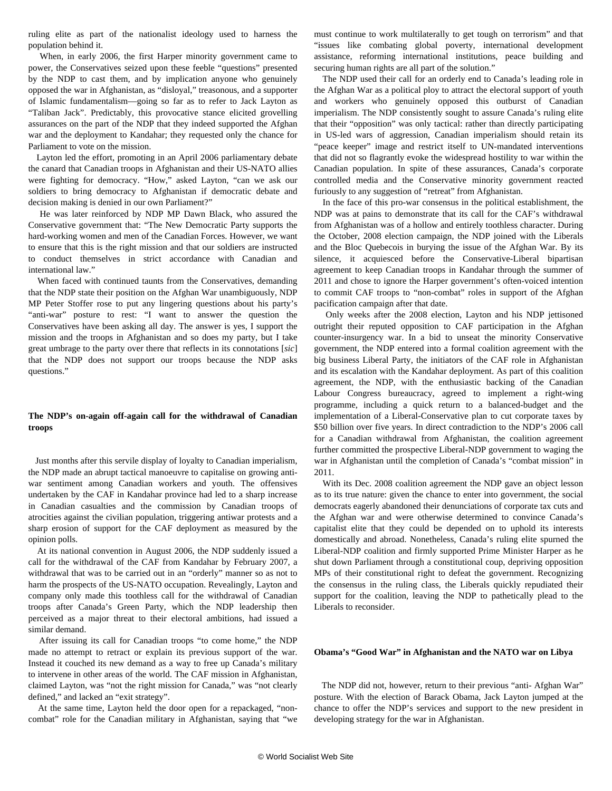ruling elite as part of the nationalist ideology used to harness the population behind it.

 When, in early 2006, the first Harper minority government came to power, the Conservatives seized upon these feeble "questions" presented by the NDP to cast them, and by implication anyone who genuinely opposed the war in Afghanistan, as "disloyal," treasonous, and a supporter of Islamic fundamentalism—going so far as to refer to Jack Layton as "Taliban Jack". Predictably, this provocative stance elicited grovelling assurances on the part of the NDP that they indeed supported the Afghan war and the deployment to Kandahar; they requested only the chance for Parliament to vote on the mission.

 Layton led the effort, promoting in an April 2006 parliamentary debate the canard that Canadian troops in Afghanistan and their US-NATO allies were fighting for democracy. "How," asked Layton, "can we ask our soldiers to bring democracy to Afghanistan if democratic debate and decision making is denied in our own Parliament?"

 He was later reinforced by NDP MP Dawn Black, who assured the Conservative government that: "The New Democratic Party supports the hard-working women and men of the Canadian Forces. However, we want to ensure that this is the right mission and that our soldiers are instructed to conduct themselves in strict accordance with Canadian and international law."

 When faced with continued taunts from the Conservatives, demanding that the NDP state their position on the Afghan War unambiguously, NDP MP Peter Stoffer rose to put any lingering questions about his party's "anti-war" posture to rest: "I want to answer the question the Conservatives have been asking all day. The answer is yes, I support the mission and the troops in Afghanistan and so does my party, but I take great umbrage to the party over there that reflects in its connotations [*sic*] that the NDP does not support our troops because the NDP asks questions."

# **The NDP's on-again off-again call for the withdrawal of Canadian troops**

 Just months after this servile display of loyalty to Canadian imperialism, the NDP made an abrupt tactical manoeuvre to capitalise on growing antiwar sentiment among Canadian workers and youth. The offensives undertaken by the CAF in Kandahar province had led to a sharp increase in Canadian casualties and the commission by Canadian troops of atrocities against the civilian population, triggering antiwar protests and a sharp erosion of support for the CAF deployment as measured by the opinion polls.

 At its national convention in August 2006, the NDP suddenly issued a call for the withdrawal of the CAF from Kandahar by February 2007, a withdrawal that was to be carried out in an "orderly" manner so as not to harm the prospects of the US-NATO occupation. Revealingly, Layton and company only made this toothless call for the withdrawal of Canadian troops after Canada's Green Party, which the NDP leadership then perceived as a major threat to their electoral ambitions, had issued a similar demand.

 After issuing its call for Canadian troops "to come home," the NDP made no attempt to retract or explain its previous support of the war. Instead it couched its new demand as a way to free up Canada's military to intervene in other areas of the world. The CAF mission in Afghanistan, claimed Layton, was "not the right mission for Canada," was "not clearly defined," and lacked an "exit strategy".

 At the same time, Layton held the door open for a repackaged, "noncombat" role for the Canadian military in Afghanistan, saying that "we must continue to work multilaterally to get tough on terrorism" and that "issues like combating global poverty, international development assistance, reforming international institutions, peace building and securing human rights are all part of the solution."

 The NDP used their call for an orderly end to Canada's leading role in the Afghan War as a political ploy to attract the electoral support of youth and workers who genuinely opposed this outburst of Canadian imperialism. The NDP consistently sought to assure Canada's ruling elite that their "opposition" was only tactical: rather than directly participating in US-led wars of aggression, Canadian imperialism should retain its "peace keeper" image and restrict itself to UN-mandated interventions that did not so flagrantly evoke the widespread hostility to war within the Canadian population. In spite of these assurances, Canada's corporate controlled media and the Conservative minority government reacted furiously to any suggestion of "retreat" from Afghanistan.

 In the face of this pro-war consensus in the political establishment, the NDP was at pains to demonstrate that its call for the CAF's withdrawal from Afghanistan was of a hollow and entirely toothless character. During the October, 2008 election campaign, the NDP joined with the Liberals and the Bloc Quebecois in burying the issue of the Afghan War. By its silence, it acquiesced before the Conservative-Liberal bipartisan agreement to keep Canadian troops in Kandahar through the summer of 2011 and chose to ignore the Harper government's often-voiced intention to commit CAF troops to "non-combat" roles in support of the Afghan pacification campaign after that date.

 Only weeks after the 2008 election, Layton and his NDP jettisoned outright their reputed opposition to CAF participation in the Afghan counter-insurgency war. In a bid to unseat the minority Conservative government, the NDP entered into a formal coalition agreement with the big business Liberal Party, the initiators of the CAF role in Afghanistan and its escalation with the Kandahar deployment. As part of this coalition agreement, the NDP, with the enthusiastic backing of the Canadian Labour Congress bureaucracy, agreed to implement a right-wing programme, including a quick return to a balanced-budget and the implementation of a Liberal-Conservative plan to cut corporate taxes by \$50 billion over five years. In direct contradiction to the NDP's 2006 call for a Canadian withdrawal from Afghanistan, the coalition agreement further committed the prospective Liberal-NDP government to waging the war in Afghanistan until the completion of Canada's "combat mission" in 2011.

 With its Dec. 2008 coalition agreement the NDP gave an object lesson as to its true nature: given the chance to enter into government, the social democrats eagerly abandoned their denunciations of corporate tax cuts and the Afghan war and were otherwise determined to convince Canada's capitalist elite that they could be depended on to uphold its interests domestically and abroad. Nonetheless, Canada's ruling elite spurned the Liberal-NDP coalition and firmly supported Prime Minister Harper as he shut down Parliament through a constitutional coup, depriving opposition MPs of their constitutional right to defeat the government. Recognizing the consensus in the ruling class, the Liberals quickly repudiated their support for the coalition, leaving the NDP to pathetically plead to the Liberals to reconsider.

## **Obama's "Good War" in Afghanistan and the NATO war on Libya**

 The NDP did not, however, return to their previous "anti- Afghan War" posture. With the election of Barack Obama, Jack Layton jumped at the chance to offer the NDP's services and support to the new president in developing strategy for the war in Afghanistan.